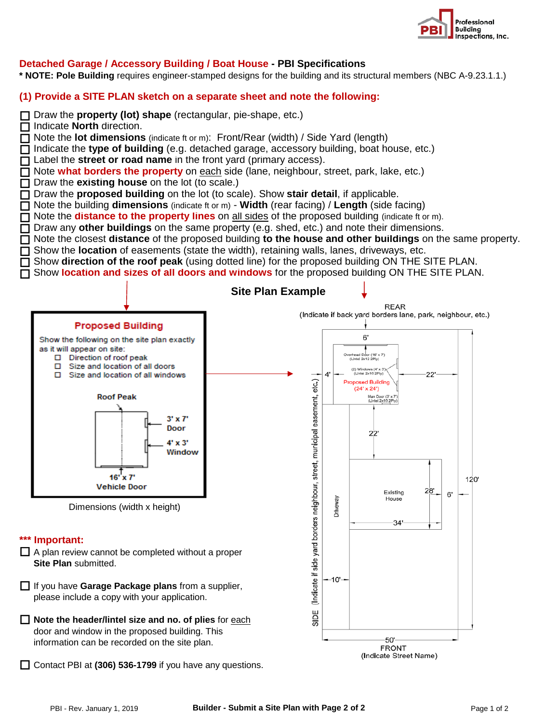

## **Detached Garage / Accessory Building / Boat House - PBI Specifications**

**\* NOTE: Pole Building** requires engineer-stamped designs for the building and its structural members (NBC A-9.23.1.1.)

## **(1) Provide a SITE PLAN sketch on a separate sheet and note the following:**



information can be recorded on the site plan.

□ Contact PBI at (306) 536-1799 if you have any questions.

-50' **FRONT** (Indicate Street Name)